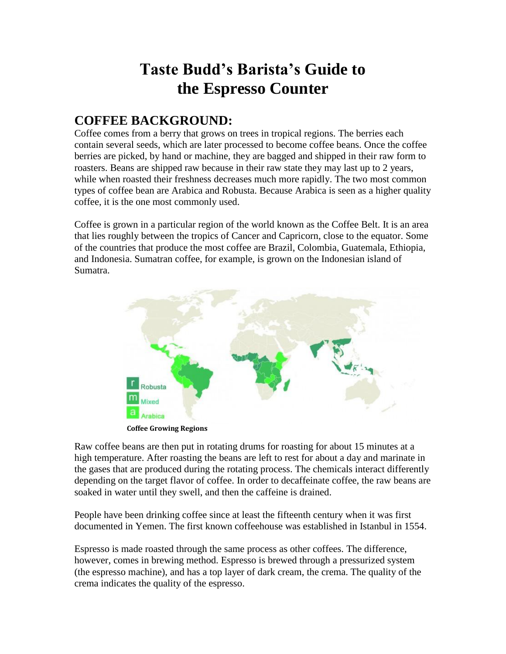# **Taste Budd's Barista's Guide to the Espresso Counter**

# **COFFEE BACKGROUND:**

Coffee comes from a berry that grows on trees in tropical regions. The berries each contain several seeds, which are later processed to become coffee beans. Once the coffee berries are picked, by hand or machine, they are bagged and shipped in their raw form to roasters. Beans are shipped raw because in their raw state they may last up to 2 years, while when roasted their freshness decreases much more rapidly. The two most common types of coffee bean are Arabica and Robusta. Because Arabica is seen as a higher quality coffee, it is the one most commonly used.

Coffee is grown in a particular region of the world known as the Coffee Belt. It is an area that lies roughly between the tropics of Cancer and Capricorn, close to the equator. Some of the countries that produce the most coffee are Brazil, Colombia, Guatemala, Ethiopia, and Indonesia. Sumatran coffee, for example, is grown on the Indonesian island of Sumatra.



 **Coffee Growing Regions** 

Raw coffee beans are then put in rotating drums for roasting for about 15 minutes at a high temperature. After roasting the beans are left to rest for about a day and marinate in the gases that are produced during the rotating process. The chemicals interact differently depending on the target flavor of coffee. In order to decaffeinate coffee, the raw beans are soaked in water until they swell, and then the caffeine is drained.

People have been drinking coffee since at least the fifteenth century when it was first documented in Yemen. The first known coffeehouse was established in Istanbul in 1554.

Espresso is made roasted through the same process as other coffees. The difference, however, comes in brewing method. Espresso is brewed through a pressurized system (the espresso machine), and has a top layer of dark cream, the crema. The quality of the crema indicates the quality of the espresso.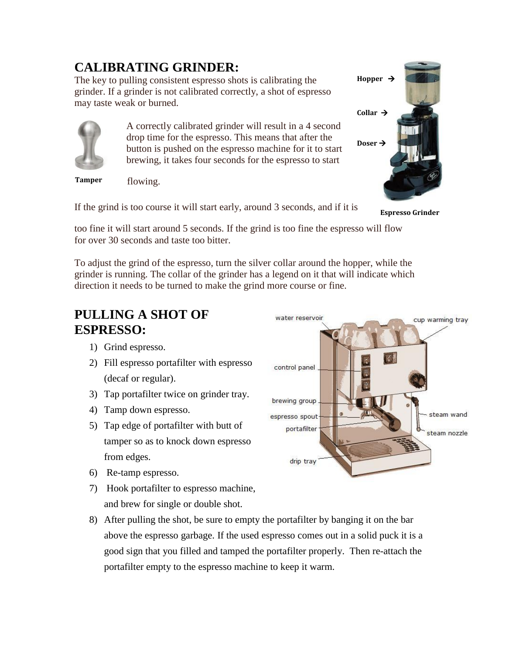# **CALIBRATING GRINDER:**

The key to pulling consistent espresso shots is calibrating the grinder. If a grinder is not calibrated correctly, a shot of espresso may taste weak or burned.



A correctly calibrated grinder will result in a 4 second drop time for the espresso. This means that after the button is pushed on the espresso machine for it to start brewing, it takes four seconds for the espresso to start

**Tamper** 

flowing.

If the grind is too course it will start early, around 3 seconds, and if it is



**Espresso Grinder** 

too fine it will start around 5 seconds. If the grind is too fine the espresso will flow for over 30 seconds and taste too bitter.

To adjust the grind of the espresso, turn the silver collar around the hopper, while the grinder is running. The collar of the grinder has a legend on it that will indicate which direction it needs to be turned to make the grind more course or fine.

# **PULLING A SHOT OF ESPRESSO:**

- 1) Grind espresso.
- 2) Fill espresso portafilter with espresso (decaf or regular).
- 3) Tap portafilter twice on grinder tray.
- 4) Tamp down espresso.
- 5) Tap edge of portafilter with butt of tamper so as to knock down espresso from edges.
- 6) Re-tamp espresso.
- 7) Hook portafilter to espresso machine, and brew for single or double shot.



8) After pulling the shot, be sure to empty the portafilter by banging it on the bar above the espresso garbage. If the used espresso comes out in a solid puck it is a good sign that you filled and tamped the portafilter properly. Then re-attach the portafilter empty to the espresso machine to keep it warm.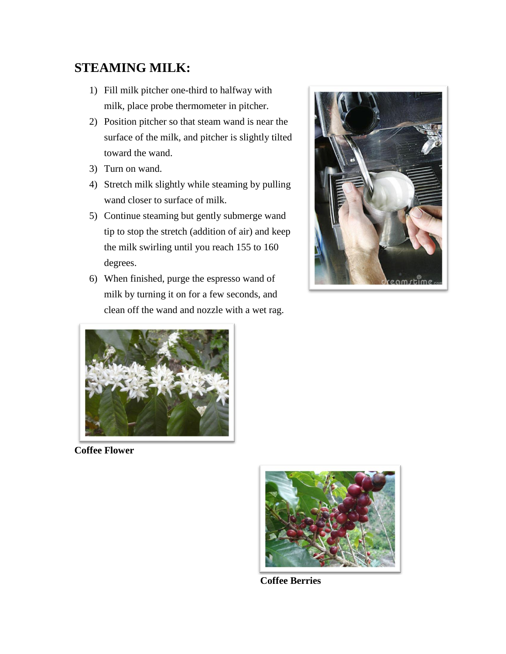# **STEAMING MILK:**

- 1) Fill milk pitcher one-third to halfway with milk, place probe thermometer in pitcher.
- 2) Position pitcher so that steam wand is near the surface of the milk, and pitcher is slightly tilted toward the wand.
- 3) Turn on wand.
- 4) Stretch milk slightly while steaming by pulling wand closer to surface of milk.
- 5) Continue steaming but gently submerge wand tip to stop the stretch (addition of air) and keep the milk swirling until you reach 155 to 160 degrees.
- 6) When finished, purge the espresso wand of milk by turning it on for a few seconds, and clean off the wand and nozzle with a wet rag.





**Coffee Flower** 



 **Coffee Berries**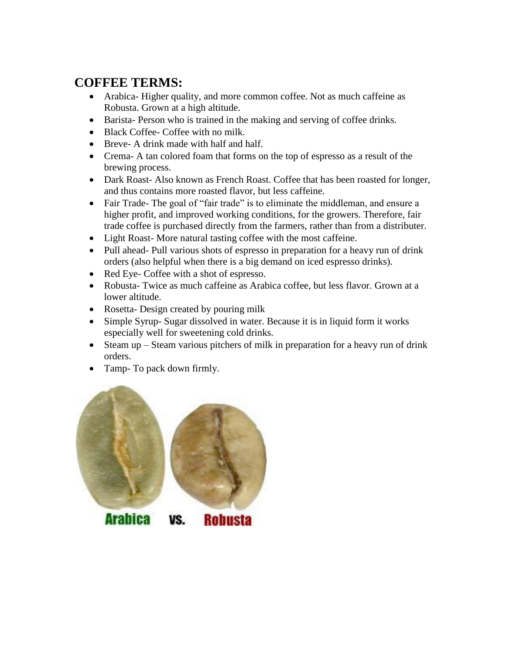# **COFFEE TERMS:**

- Arabica- Higher quality, and more common coffee. Not as much caffeine as Robusta. Grown at a high altitude.
- Barista- Person who is trained in the making and serving of coffee drinks.
- Black Coffee- Coffee with no milk.
- Breve- A drink made with half and half.
- Crema- A tan colored foam that forms on the top of espresso as a result of the brewing process.
- Dark Roast- Also known as French Roast. Coffee that has been roasted for longer, and thus contains more roasted flavor, but less caffeine.
- Fair Trade- The goal of "fair trade" is to eliminate the middleman, and ensure a higher profit, and improved working conditions, for the growers. Therefore, fair trade coffee is purchased directly from the farmers, rather than from a distributer.
- Light Roast-More natural tasting coffee with the most caffeine.
- Pull ahead- Pull various shots of espresso in preparation for a heavy run of drink orders (also helpful when there is a big demand on iced espresso drinks).
- Red Eye- Coffee with a shot of espresso.
- Robusta- Twice as much caffeine as Arabica coffee, but less flavor. Grown at a lower altitude.
- Rosetta- Design created by pouring milk
- Simple Syrup- Sugar dissolved in water. Because it is in liquid form it works especially well for sweetening cold drinks.
- Steam up Steam various pitchers of milk in preparation for a heavy run of drink orders.
- Tamp- To pack down firmly.



**Arabica Robusta** VS.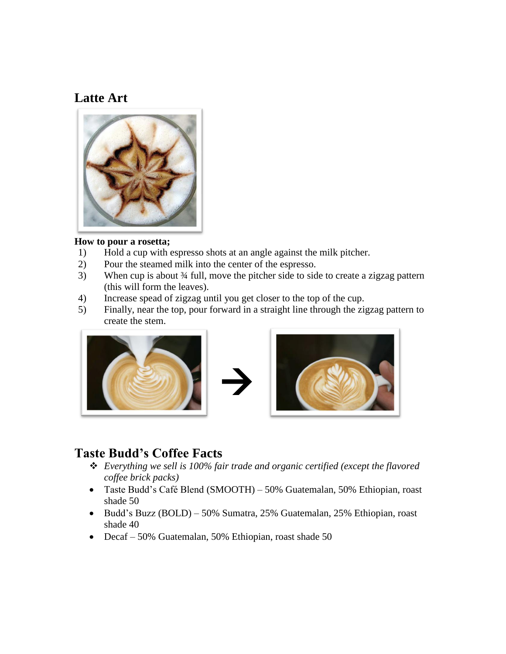### **Latte Art**



#### **How to pour a rosetta;**

- 1) Hold a cup with espresso shots at an angle against the milk pitcher.
- 2) Pour the steamed milk into the center of the espresso.
- 3) When cup is about ¾ full, move the pitcher side to side to create a zigzag pattern (this will form the leaves).
- 4) Increase spead of zigzag until you get closer to the top of the cup.
- 5) Finally, near the top, pour forward in a straight line through the zigzag pattern to create the stem.





### **Taste Budd's Coffee Facts**

- *Everything we sell is 100% fair trade and organic certified (except the flavored coffee brick packs)*
- Taste Budd's Café Blend (SMOOTH) 50% Guatemalan, 50% Ethiopian, roast shade 50
- Budd's Buzz (BOLD) 50% Sumatra, 25% Guatemalan, 25% Ethiopian, roast shade 40
- Decaf 50% Guatemalan, 50% Ethiopian, roast shade 50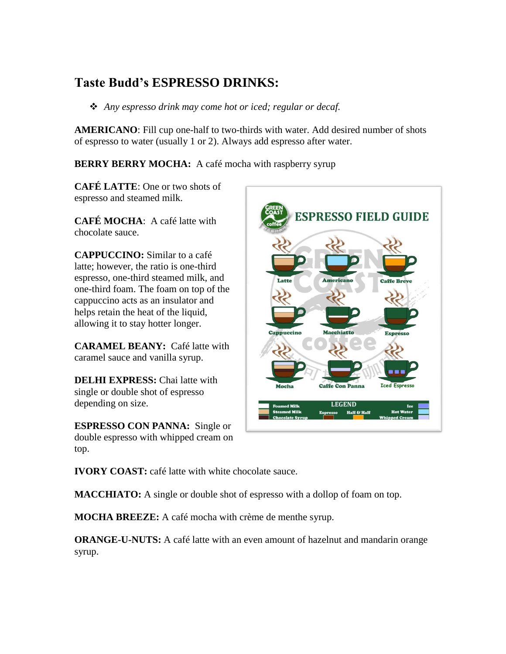# **Taste Budd's ESPRESSO DRINKS:**

*Any espresso drink may come hot or iced; regular or decaf.* 

**AMERICANO**: Fill cup one-half to two-thirds with water. Add desired number of shots of espresso to water (usually 1 or 2). Always add espresso after water.

**BERRY BERRY MOCHA:** A café mocha with raspberry syrup

**CAFÉ LATTE**: One or two shots of espresso and steamed milk.

**CAFÉ MOCHA**: A café latte with chocolate sauce.

**CAPPUCCINO:** Similar to a café latte; however, the ratio is one-third espresso, one-third steamed milk, and one-third foam. The foam on top of the cappuccino acts as an insulator and helps retain the heat of the liquid, allowing it to stay hotter longer.

**CARAMEL BEANY:** Café latte with caramel sauce and vanilla syrup.

**DELHI EXPRESS:** Chai latte with single or double shot of espresso depending on size.

**ESPRESSO CON PANNA:** Single or double espresso with whipped cream on top.



**IVORY COAST:** café latte with white chocolate sauce.

**MACCHIATO:** A single or double shot of espresso with a dollop of foam on top.

**MOCHA BREEZE:** A café mocha with crème de menthe syrup.

**ORANGE-U-NUTS:** A café latte with an even amount of hazelnut and mandarin orange syrup.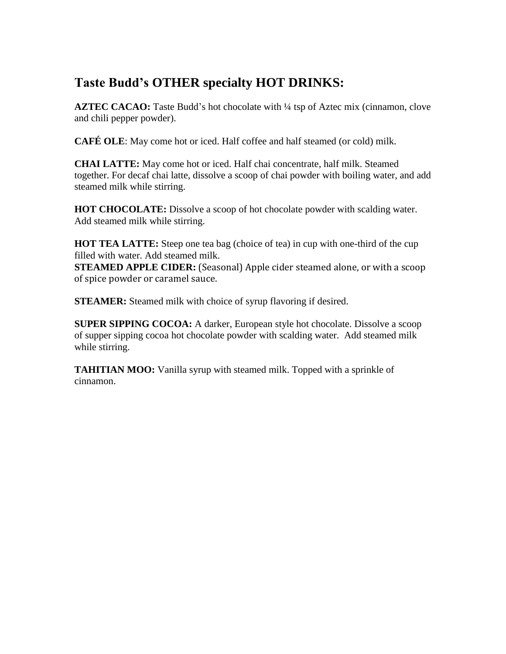# **Taste Budd's OTHER specialty HOT DRINKS:**

**AZTEC CACAO:** Taste Budd's hot chocolate with  $\frac{1}{4}$  tsp of Aztec mix (cinnamon, clove and chili pepper powder).

**CAFÉ OLE**: May come hot or iced. Half coffee and half steamed (or cold) milk.

**CHAI LATTE:** May come hot or iced. Half chai concentrate, half milk. Steamed together. For decaf chai latte, dissolve a scoop of chai powder with boiling water, and add steamed milk while stirring.

**HOT CHOCOLATE:** Dissolve a scoop of hot chocolate powder with scalding water. Add steamed milk while stirring.

**HOT TEA LATTE:** Steep one tea bag (choice of tea) in cup with one-third of the cup filled with water. Add steamed milk.

**STEAMED APPLE CIDER:** (Seasonal) Apple cider steamed alone, or with a scoop of spice powder or caramel sauce.

**STEAMER:** Steamed milk with choice of syrup flavoring if desired.

**SUPER SIPPING COCOA:** A darker, European style hot chocolate. Dissolve a scoop of supper sipping cocoa hot chocolate powder with scalding water. Add steamed milk while stirring.

**TAHITIAN MOO:** Vanilla syrup with steamed milk. Topped with a sprinkle of cinnamon.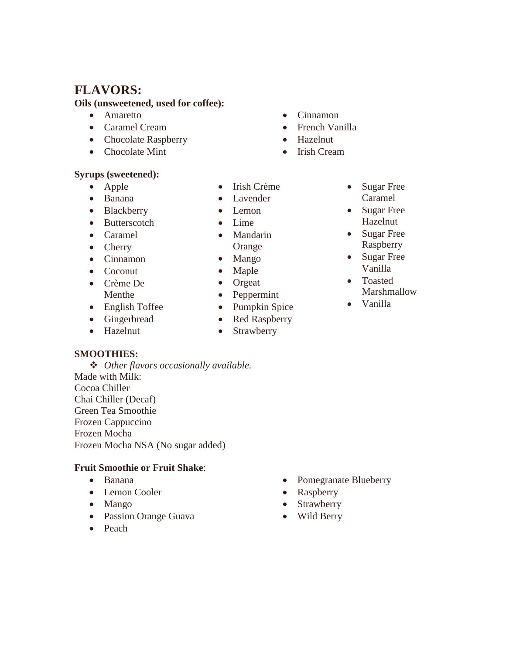### **FLAVORS:**

#### **Oils (unsweetened, used for coffee):**

- **•** Amaretto
- Caramel Cream
- Chocolate Raspberry
- Chocolate Mint

#### **Syrups (sweetened):**

- Apple
- Banana
- Blackberry
- Butterscotch
- Caramel
- Cherry
- Cinnamon
- Coconut
- Crème De Menthe
- English Toffee
- Gingerbread
- Hazelnut

#### **SMOOTHIES:**

 *Other flavors occasionally available.*  Made with Milk: Cocoa Chiller Chai Chiller (Decaf) Green Tea Smoothie Frozen Cappuccino Frozen Mocha Frozen Mocha NSA (No sugar added)

#### **Fruit Smoothie or Fruit Shake**:

- Banana
- Lemon Cooler
- Mango
- Passion Orange Guava
- Peach
- Hazelnut
	- Irish Cream

• Cinnamon • French Vanilla

- Irish Crème
- Lavender
- Lemon
- $\bullet$  Lime
- Mandarin Orange
- 
- Mango
- Maple
- Orgeat
- Peppermint
- Pumpkin Spice
- Red Raspberry
- Strawberry
- Sugar Free Caramel • Sugar Free
- Hazelnut
- Sugar Free Raspberry
- Sugar Free Vanilla
- Toasted
	- Marshmallow
- Vanilla

- Pomegranate Blueberry
- Raspberry
- Strawberry
- Wild Berry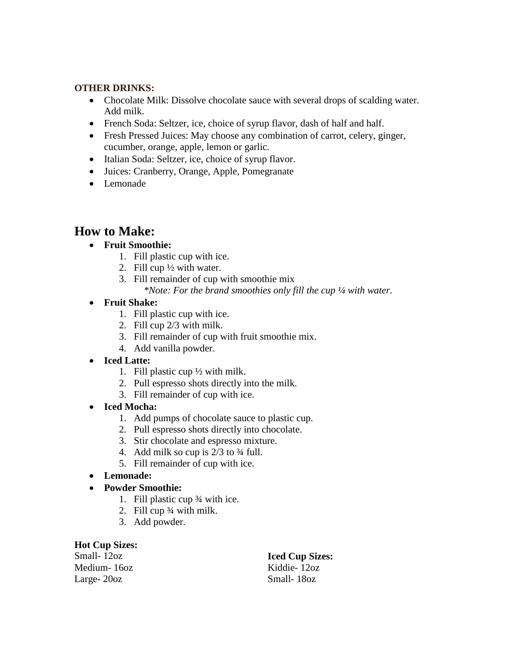#### **OTHER DRINKS:**

- Chocolate Milk: Dissolve chocolate sauce with several drops of scalding water. Add milk.
- French Soda: Seltzer, ice, choice of syrup flavor, dash of half and half.
- Fresh Pressed Juices: May choose any combination of carrot, celery, ginger, cucumber, orange, apple, lemon or garlic.
- Italian Soda: Seltzer, ice, choice of syrup flavor.
- Juices: Cranberry, Orange, Apple, Pomegranate
- Lemonade

### **How to Make:**

#### **Fruit Smoothie:**

- 1. Fill plastic cup with ice.
- 2. Fill cup ½ with water.
- 3. Fill remainder of cup with smoothie mix

*\*Note: For the brand smoothies only fill the cup ¼ with water.* 

#### **Fruit Shake:**

- 1. Fill plastic cup with ice.
- 2. Fill cup 2/3 with milk.
- 3. Fill remainder of cup with fruit smoothie mix.
- 4. Add vanilla powder.

#### **Iced Latte:**

- 1. Fill plastic cup  $\frac{1}{2}$  with milk.
- 2. Pull espresso shots directly into the milk.
- 3. Fill remainder of cup with ice.
- **Iced Mocha:**
	- 1. Add pumps of chocolate sauce to plastic cup.
	- 2. Pull espresso shots directly into chocolate.
	- 3. Stir chocolate and espresso mixture.
	- 4. Add milk so cup is  $2/3$  to  $\frac{3}{4}$  full.
	- 5. Fill remainder of cup with ice.
- **Lemonade:**
- **Powder Smoothie:** 
	- 1. Fill plastic cup ¾ with ice.
	- 2. Fill cup ¾ with milk.
	- 3. Add powder.

#### **Hot Cup Sizes:**

Small- 12oz Medium- 16oz Large- 20oz

### **Iced Cup Sizes:**

Kiddie- 12oz Small- 18oz